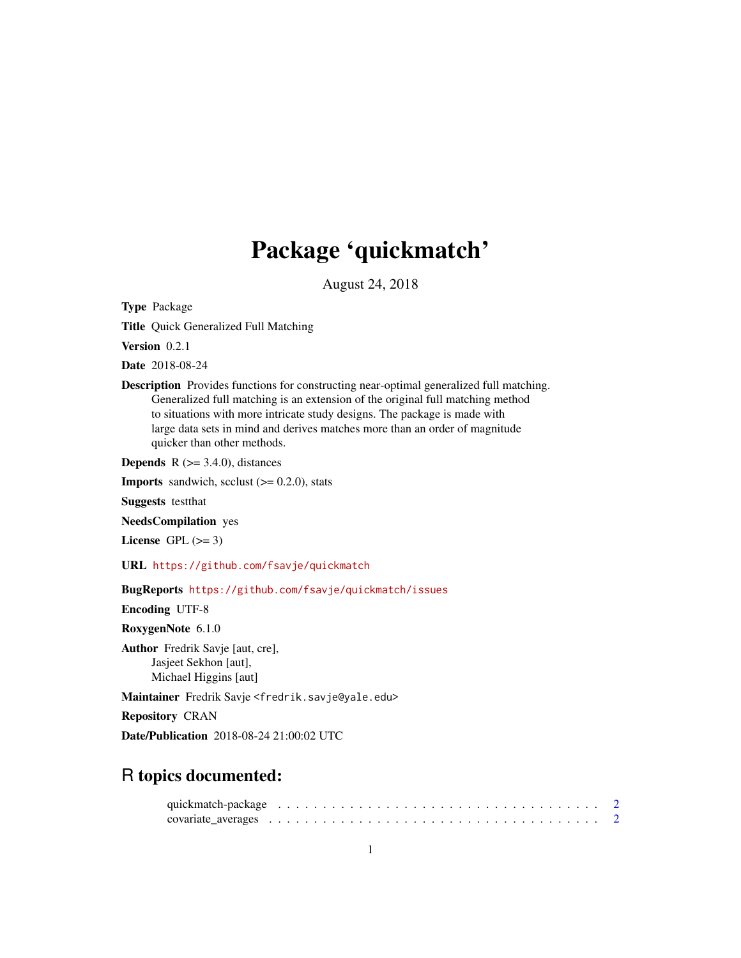## Package 'quickmatch'

August 24, 2018

<span id="page-0-0"></span>Type Package

Title Quick Generalized Full Matching

Version 0.2.1

Date 2018-08-24

Description Provides functions for constructing near-optimal generalized full matching. Generalized full matching is an extension of the original full matching method to situations with more intricate study designs. The package is made with large data sets in mind and derives matches more than an order of magnitude quicker than other methods.

**Depends**  $R$  ( $> = 3.4.0$ ), distances

**Imports** sandwich, scclust  $(>= 0.2.0)$ , stats

Suggests testthat

NeedsCompilation yes

License GPL  $(>= 3)$ 

URL <https://github.com/fsavje/quickmatch>

BugReports <https://github.com/fsavje/quickmatch/issues>

Encoding UTF-8

RoxygenNote 6.1.0

Author Fredrik Savje [aut, cre], Jasjeet Sekhon [aut], Michael Higgins [aut]

Maintainer Fredrik Savje <fredrik.savje@yale.edu>

Repository CRAN

Date/Publication 2018-08-24 21:00:02 UTC

## R topics documented: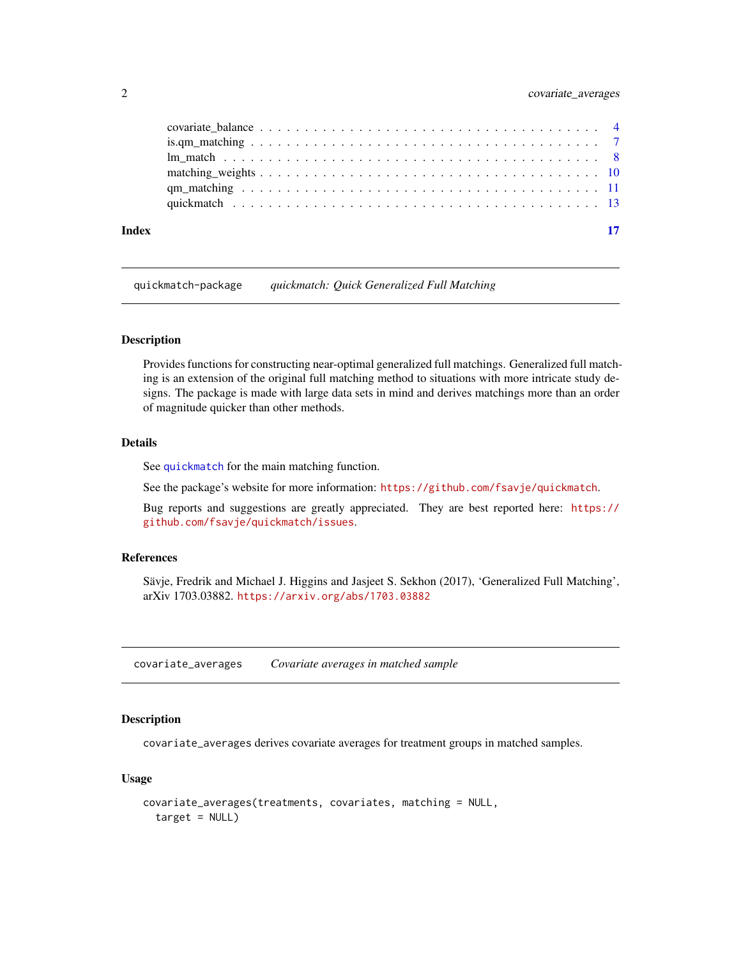<span id="page-1-0"></span>

| Index | $\overline{17}$ |
|-------|-----------------|
|       |                 |
|       |                 |
|       |                 |
|       |                 |
|       |                 |
|       |                 |

quickmatch-package *quickmatch: Quick Generalized Full Matching*

### Description

Provides functions for constructing near-optimal generalized full matchings. Generalized full matching is an extension of the original full matching method to situations with more intricate study designs. The package is made with large data sets in mind and derives matchings more than an order of magnitude quicker than other methods.

#### Details

See [quickmatch](#page-12-1) for the main matching function.

See the package's website for more information: <https://github.com/fsavje/quickmatch>.

Bug reports and suggestions are greatly appreciated. They are best reported here: [https://](https://github.com/fsavje/quickmatch/issues) [github.com/fsavje/quickmatch/issues](https://github.com/fsavje/quickmatch/issues).

#### References

Sävje, Fredrik and Michael J. Higgins and Jasjeet S. Sekhon (2017), 'Generalized Full Matching', arXiv 1703.03882. <https://arxiv.org/abs/1703.03882>

covariate\_averages *Covariate averages in matched sample*

#### Description

covariate\_averages derives covariate averages for treatment groups in matched samples.

#### Usage

```
covariate_averages(treatments, covariates, matching = NULL,
  target = NULL)
```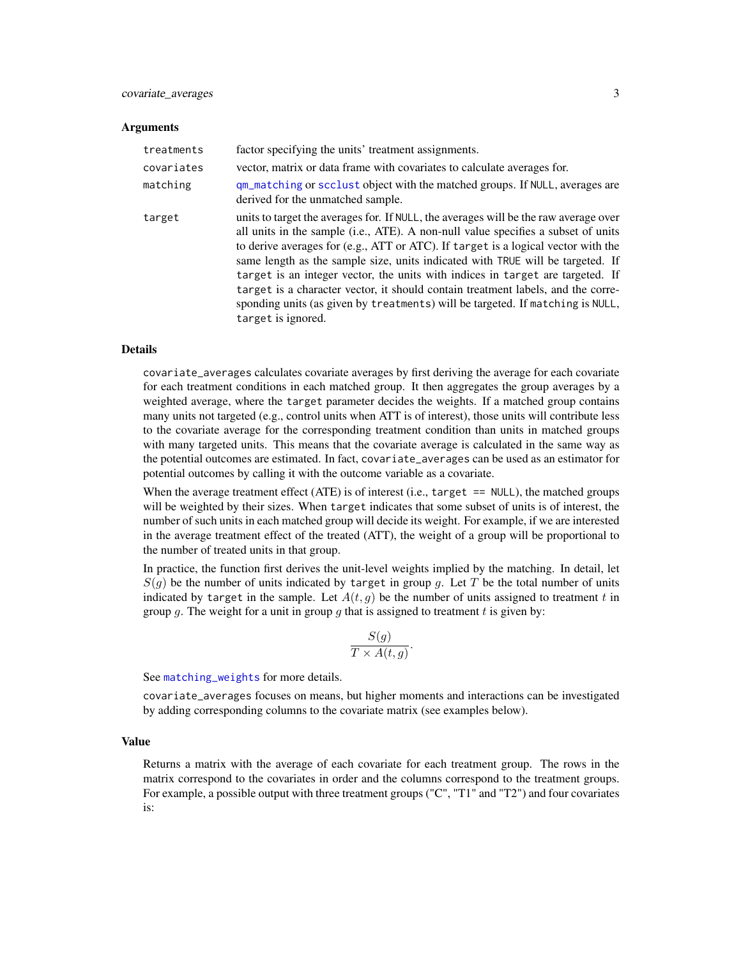#### <span id="page-2-0"></span>Arguments

| treatments | factor specifying the units' treatment assignments.                                                                                                                                                                                                                                                                                                                                                                                                                                                                                                                                                                            |
|------------|--------------------------------------------------------------------------------------------------------------------------------------------------------------------------------------------------------------------------------------------------------------------------------------------------------------------------------------------------------------------------------------------------------------------------------------------------------------------------------------------------------------------------------------------------------------------------------------------------------------------------------|
| covariates | vector, matrix or data frame with covariates to calculate averages for.                                                                                                                                                                                                                                                                                                                                                                                                                                                                                                                                                        |
| matching   | qm_matching or scclust object with the matched groups. If NULL, averages are<br>derived for the unmatched sample.                                                                                                                                                                                                                                                                                                                                                                                                                                                                                                              |
| target     | units to target the averages for. If NULL, the averages will be the raw average over<br>all units in the sample (i.e., ATE). A non-null value specifies a subset of units<br>to derive averages for (e.g., ATT or ATC). If target is a logical vector with the<br>same length as the sample size, units indicated with TRUE will be targeted. If<br>target is an integer vector, the units with indices in target are targeted. If<br>target is a character vector, it should contain treatment labels, and the corre-<br>sponding units (as given by treatments) will be targeted. If matching is NULL,<br>target is ignored. |

#### Details

covariate\_averages calculates covariate averages by first deriving the average for each covariate for each treatment conditions in each matched group. It then aggregates the group averages by a weighted average, where the target parameter decides the weights. If a matched group contains many units not targeted (e.g., control units when ATT is of interest), those units will contribute less to the covariate average for the corresponding treatment condition than units in matched groups with many targeted units. This means that the covariate average is calculated in the same way as the potential outcomes are estimated. In fact, covariate\_averages can be used as an estimator for potential outcomes by calling it with the outcome variable as a covariate.

When the average treatment effect (ATE) is of interest (i.e.,  $target = NULL$ ), the matched groups will be weighted by their sizes. When target indicates that some subset of units is of interest, the number of such units in each matched group will decide its weight. For example, if we are interested in the average treatment effect of the treated (ATT), the weight of a group will be proportional to the number of treated units in that group.

In practice, the function first derives the unit-level weights implied by the matching. In detail, let  $S(g)$  be the number of units indicated by target in group g. Let T be the total number of units indicated by target in the sample. Let  $A(t, g)$  be the number of units assigned to treatment t in group g. The weight for a unit in group g that is assigned to treatment t is given by:

$$
\frac{S(g)}{T \times A(t,g)}.
$$

See [matching\\_weights](#page-9-1) for more details.

covariate\_averages focuses on means, but higher moments and interactions can be investigated by adding corresponding columns to the covariate matrix (see examples below).

### Value

Returns a matrix with the average of each covariate for each treatment group. The rows in the matrix correspond to the covariates in order and the columns correspond to the treatment groups. For example, a possible output with three treatment groups ("C", "T1" and "T2") and four covariates is: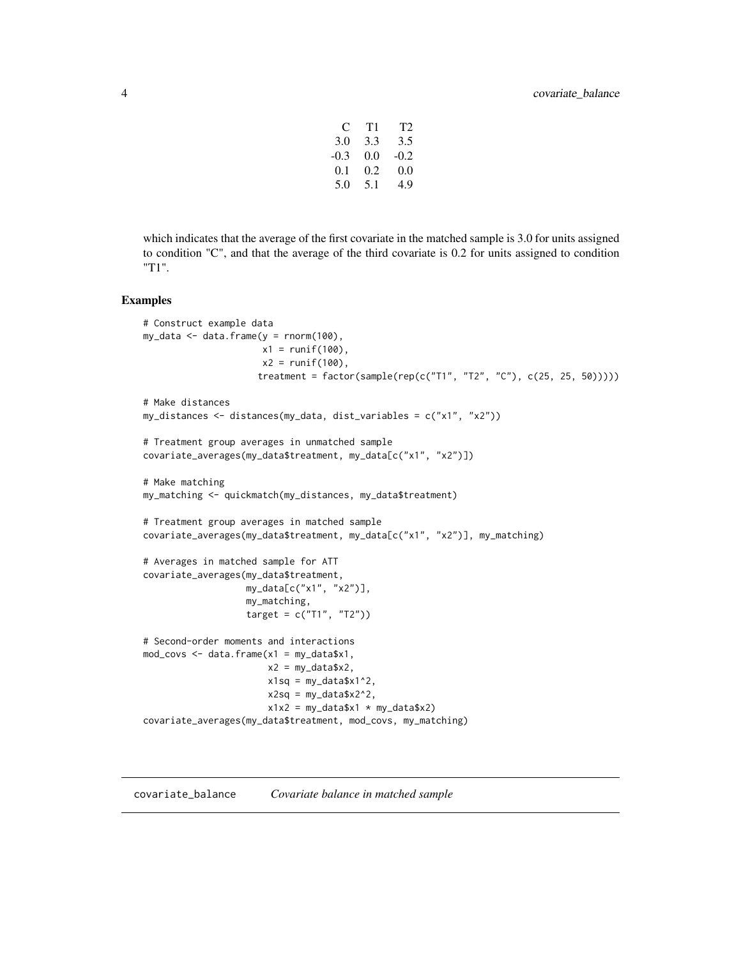| C      | Τ1    | T <sub>2</sub> |
|--------|-------|----------------|
| 3.0    | 3.3   | 3.5            |
| $-0.3$ | (0.0) | $-0.2$         |
| 0.1    | 0.2   | 0.0            |
| 5.0    | 5.1   | 4.9            |

<span id="page-3-0"></span>which indicates that the average of the first covariate in the matched sample is 3.0 for units assigned to condition "C", and that the average of the third covariate is 0.2 for units assigned to condition "T1".

#### Examples

```
# Construct example data
my_data \leq data.frame(y = rnorm(100),
                      x1 = runif(100),
                      x2 = runif(100),
                     treatment = factor(sample(rep(c("T1", "T2", "C"), c(25, 25, 50)))))
# Make distances
my_distances <- distances(my_data, dist_variables = c("x1", "x2"))
# Treatment group averages in unmatched sample
covariate_averages(my_data$treatment, my_data[c("x1", "x2")])
# Make matching
my_matching <- quickmatch(my_distances, my_data$treatment)
# Treatment group averages in matched sample
covariate_averages(my_data$treatment, my_data[c("x1", "x2")], my_matching)
# Averages in matched sample for ATT
covariate_averages(my_data$treatment,
                   my_data[c("x1", "x2")],
                   my_matching,
                   target = c("T1", "T2"))
# Second-order moments and interactions
mod\_covs \leq data. frame(x1 = my\_data $x1,
                       x2 = my_data$x2,
                       x1sq = my_data$x1^2,x2sq = my_data$x2^2,
                       x1x2 = my_data$x1 * my_data$x2)covariate_averages(my_data$treatment, mod_covs, my_matching)
```
covariate\_balance *Covariate balance in matched sample*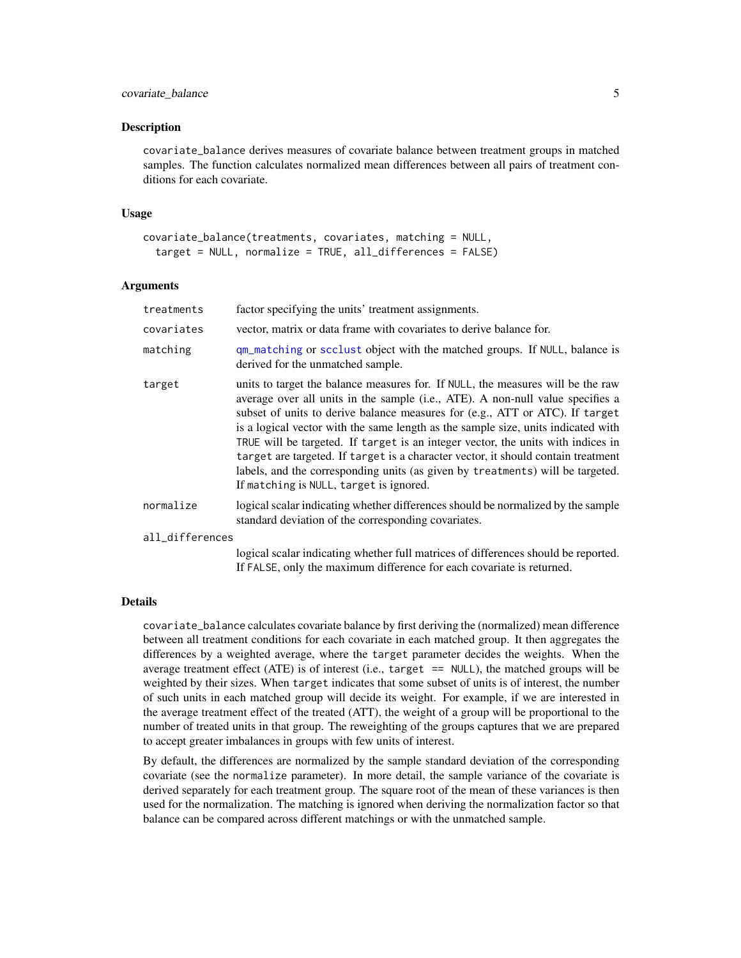#### <span id="page-4-0"></span>covariate\_balance 5

#### Description

covariate\_balance derives measures of covariate balance between treatment groups in matched samples. The function calculates normalized mean differences between all pairs of treatment conditions for each covariate.

#### Usage

```
covariate_balance(treatments, covariates, matching = NULL,
  target = NULL, normalize = TRUE, all_differences = FALSE)
```
#### Arguments

| treatments      | factor specifying the units' treatment assignments.                                                                                                                                                                                                                                                                                                                                                                                                                                                                                                                                                                                          |
|-----------------|----------------------------------------------------------------------------------------------------------------------------------------------------------------------------------------------------------------------------------------------------------------------------------------------------------------------------------------------------------------------------------------------------------------------------------------------------------------------------------------------------------------------------------------------------------------------------------------------------------------------------------------------|
| covariates      | vector, matrix or data frame with covariates to derive balance for.                                                                                                                                                                                                                                                                                                                                                                                                                                                                                                                                                                          |
| matching        | qm_matching or scclust object with the matched groups. If NULL, balance is<br>derived for the unmatched sample.                                                                                                                                                                                                                                                                                                                                                                                                                                                                                                                              |
| target          | units to target the balance measures for. If NULL, the measures will be the raw<br>average over all units in the sample (i.e., ATE). A non-null value specifies a<br>subset of units to derive balance measures for (e.g., ATT or ATC). If target<br>is a logical vector with the same length as the sample size, units indicated with<br>TRUE will be targeted. If target is an integer vector, the units with indices in<br>target are targeted. If target is a character vector, it should contain treatment<br>labels, and the corresponding units (as given by treatments) will be targeted.<br>If matching is NULL, target is ignored. |
| normalize       | logical scalar indicating whether differences should be normalized by the sample<br>standard deviation of the corresponding covariates.                                                                                                                                                                                                                                                                                                                                                                                                                                                                                                      |
| all_differences |                                                                                                                                                                                                                                                                                                                                                                                                                                                                                                                                                                                                                                              |
|                 | logical scalar indicating whether full matrices of differences should be reported.<br>If FALSE, only the maximum difference for each covariate is returned.                                                                                                                                                                                                                                                                                                                                                                                                                                                                                  |

#### Details

covariate\_balance calculates covariate balance by first deriving the (normalized) mean difference between all treatment conditions for each covariate in each matched group. It then aggregates the differences by a weighted average, where the target parameter decides the weights. When the average treatment effect (ATE) is of interest (i.e., target  $==$  NULL), the matched groups will be weighted by their sizes. When target indicates that some subset of units is of interest, the number of such units in each matched group will decide its weight. For example, if we are interested in the average treatment effect of the treated (ATT), the weight of a group will be proportional to the number of treated units in that group. The reweighting of the groups captures that we are prepared to accept greater imbalances in groups with few units of interest.

By default, the differences are normalized by the sample standard deviation of the corresponding covariate (see the normalize parameter). In more detail, the sample variance of the covariate is derived separately for each treatment group. The square root of the mean of these variances is then used for the normalization. The matching is ignored when deriving the normalization factor so that balance can be compared across different matchings or with the unmatched sample.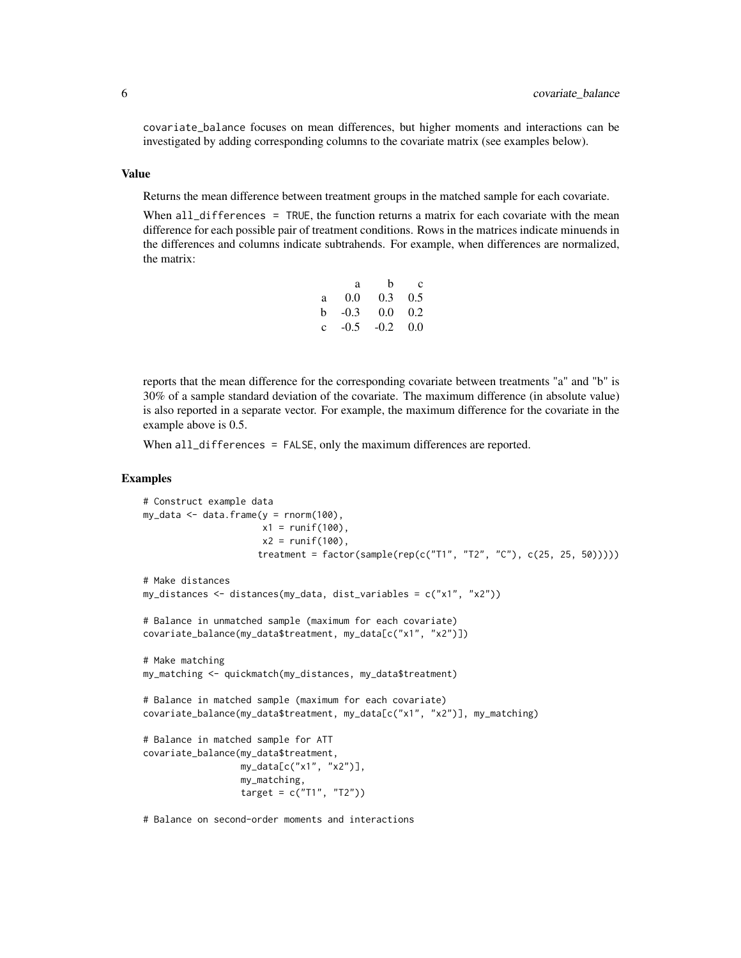covariate\_balance focuses on mean differences, but higher moments and interactions can be investigated by adding corresponding columns to the covariate matrix (see examples below).

#### Value

Returns the mean difference between treatment groups in the matched sample for each covariate.

When all\_differences = TRUE, the function returns a matrix for each covariate with the mean difference for each possible pair of treatment conditions. Rows in the matrices indicate minuends in the differences and columns indicate subtrahends. For example, when differences are normalized, the matrix:

|              | a      | h                | C   |
|--------------|--------|------------------|-----|
| a            | 0.0    | 0.3 <sup>2</sup> | 0.5 |
| h.           | $-0.3$ | 0.0              | 0.2 |
| $\mathbf{c}$ | $-0.5$ | $-0.2$ 0.0       |     |

reports that the mean difference for the corresponding covariate between treatments "a" and "b" is 30% of a sample standard deviation of the covariate. The maximum difference (in absolute value) is also reported in a separate vector. For example, the maximum difference for the covariate in the example above is 0.5.

When all\_differences = FALSE, only the maximum differences are reported.

```
# Construct example data
my_data \leq data.frame(y = rnorm(100),x1 = runif(100),
                     x2 = runif(100),
                     treatment = factor(sample(rep(c("T1", "T2", "C"), c(25, 25, 50)))))
# Make distances
my_distances <- distances(my_data, dist_variables = c("x1", "x2"))
# Balance in unmatched sample (maximum for each covariate)
covariate_balance(my_data$treatment, my_data[c("x1", "x2")])
# Make matching
my_matching <- quickmatch(my_distances, my_data$treatment)
# Balance in matched sample (maximum for each covariate)
covariate_balance(my_data$treatment, my_data[c("x1", "x2")], my_matching)
# Balance in matched sample for ATT
covariate_balance(my_data$treatment,
                 my_data[c("x1", "x2")],
                 my_matching,
                  target = c("T1", "T2")# Balance on second-order moments and interactions
```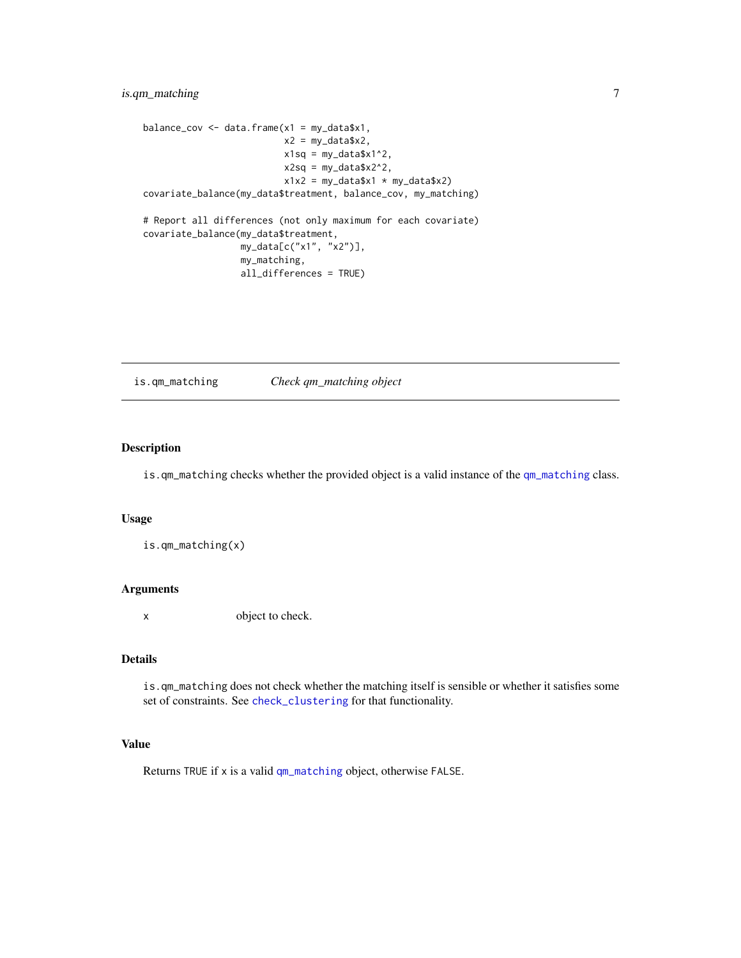### <span id="page-6-0"></span>is.qm\_matching 7

```
balance_{cov} <- data.frame(x1 = my_data$x1,
                         x2 = my_data$x2,x1sq = my_data$x1^2,x2sq = my_data$x2^2,
                          x1x2 = my_data$x1 * my_data$x2)covariate_balance(my_data$treatment, balance_cov, my_matching)
# Report all differences (not only maximum for each covariate)
covariate_balance(my_data$treatment,
                 my_data[c("x1", "x2")],
                 my_matching,
                  all_differences = TRUE)
```
is.qm\_matching *Check qm\_matching object*

#### Description

is.qm\_matching checks whether the provided object is a valid instance of the [qm\\_matching](#page-10-1) class.

#### Usage

is.qm\_matching(x)

#### Arguments

x object to check.

#### Details

is.qm\_matching does not check whether the matching itself is sensible or whether it satisfies some set of constraints. See [check\\_clustering](#page-0-0) for that functionality.

#### Value

Returns TRUE if x is a valid [qm\\_matching](#page-10-1) object, otherwise FALSE.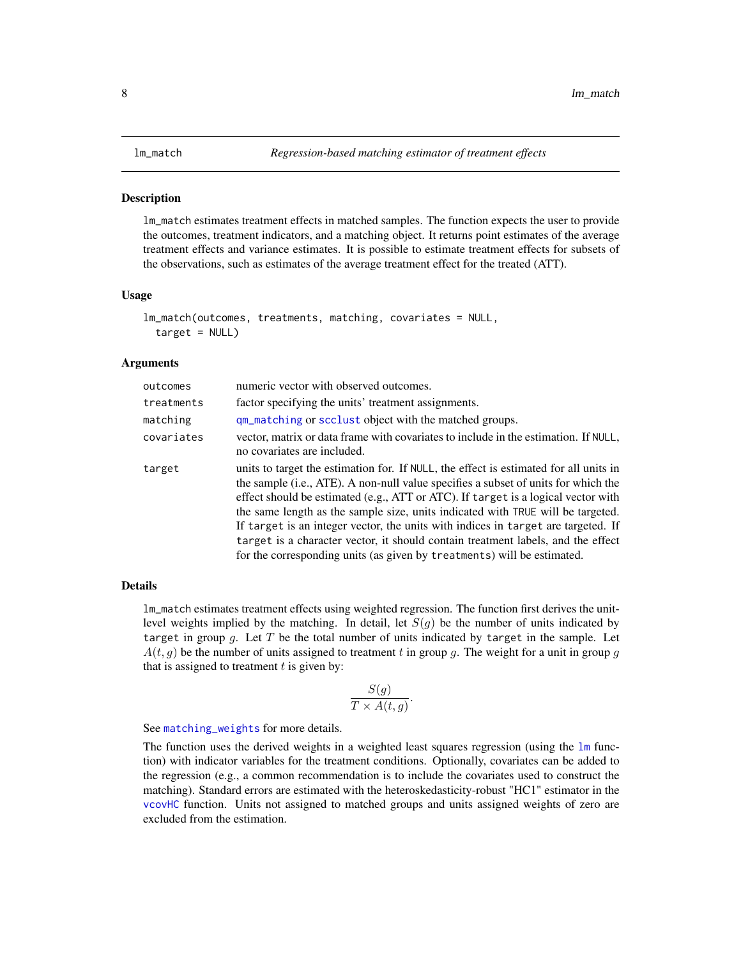#### <span id="page-7-0"></span>Description

lm\_match estimates treatment effects in matched samples. The function expects the user to provide the outcomes, treatment indicators, and a matching object. It returns point estimates of the average treatment effects and variance estimates. It is possible to estimate treatment effects for subsets of the observations, such as estimates of the average treatment effect for the treated (ATT).

#### Usage

```
lm_match(outcomes, treatments, matching, covariates = NULL,
  target = NULL)
```
#### Arguments

| outcomes   | numeric vector with observed outcomes.                                                                                                                                                                                                                                                                                                                                                                                                                                                                                                                                                                  |
|------------|---------------------------------------------------------------------------------------------------------------------------------------------------------------------------------------------------------------------------------------------------------------------------------------------------------------------------------------------------------------------------------------------------------------------------------------------------------------------------------------------------------------------------------------------------------------------------------------------------------|
| treatments | factor specifying the units' treatment assignments.                                                                                                                                                                                                                                                                                                                                                                                                                                                                                                                                                     |
| matching   | qm_matching or scclust object with the matched groups.                                                                                                                                                                                                                                                                                                                                                                                                                                                                                                                                                  |
| covariates | vector, matrix or data frame with covariates to include in the estimation. If NULL,<br>no covariates are included.                                                                                                                                                                                                                                                                                                                                                                                                                                                                                      |
| target     | units to target the estimation for. If NULL, the effect is estimated for all units in<br>the sample (i.e., ATE). A non-null value specifies a subset of units for which the<br>effect should be estimated (e.g., ATT or ATC). If target is a logical vector with<br>the same length as the sample size, units indicated with TRUE will be targeted.<br>If target is an integer vector, the units with indices in target are targeted. If<br>target is a character vector, it should contain treatment labels, and the effect<br>for the corresponding units (as given by treatments) will be estimated. |

#### Details

lm\_match estimates treatment effects using weighted regression. The function first derives the unitlevel weights implied by the matching. In detail, let  $S(q)$  be the number of units indicated by target in group g. Let  $T$  be the total number of units indicated by target in the sample. Let  $A(t, g)$  be the number of units assigned to treatment t in group g. The weight for a unit in group g that is assigned to treatment  $t$  is given by:

$$
\frac{S(g)}{T \times A(t,g)}
$$

.

#### See [matching\\_weights](#page-9-1) for more details.

The function uses the derived weights in a weighted least squares regression (using the 1m function) with indicator variables for the treatment conditions. Optionally, covariates can be added to the regression (e.g., a common recommendation is to include the covariates used to construct the matching). Standard errors are estimated with the heteroskedasticity-robust "HC1" estimator in the [vcovHC](#page-0-0) function. Units not assigned to matched groups and units assigned weights of zero are excluded from the estimation.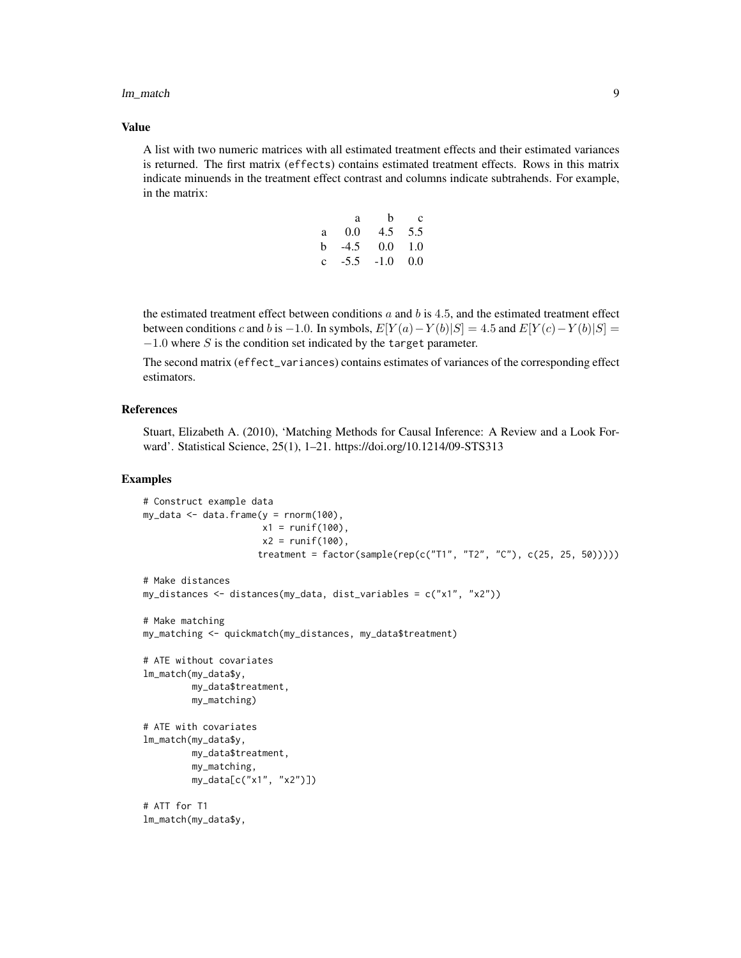#### lm\_match 9

#### Value

A list with two numeric matrices with all estimated treatment effects and their estimated variances is returned. The first matrix (effects) contains estimated treatment effects. Rows in this matrix indicate minuends in the treatment effect contrast and columns indicate subtrahends. For example, in the matrix:

|   | a      | h      | c   |
|---|--------|--------|-----|
| a | 0.0    | 4.5    | 5.5 |
| h | $-4.5$ | 0.0    | 1.0 |
| c | $-5.5$ | $-1.0$ | 0.0 |

the estimated treatment effect between conditions  $a$  and  $b$  is 4.5, and the estimated treatment effect between conditions c and b is −1.0. In symbols,  $E[Y(a) - Y(b)|S] = 4.5$  and  $E[Y(c) - Y(b)|S] =$  $-1.0$  where S is the condition set indicated by the target parameter.

The second matrix (effect\_variances) contains estimates of variances of the corresponding effect estimators.

## References

Stuart, Elizabeth A. (2010), 'Matching Methods for Causal Inference: A Review and a Look Forward'. Statistical Science, 25(1), 1–21. https://doi.org/10.1214/09-STS313

```
# Construct example data
my_data < - data frame(y = norm(100),x1 = runif(100),
                     x2 = runif(100),
                     treatment = factor(sample(rep(c("T1", "T2", "C"), c(25, 25, 50)))))
# Make distances
my_distances <- distances(my_data, dist_variables = c("x1", "x2"))
# Make matching
my_matching <- quickmatch(my_distances, my_data$treatment)
# ATE without covariates
lm_match(my_data$y,
        my_data$treatment,
        my_matching)
# ATE with covariates
lm_match(my_data$y,
        my_data$treatment,
        my_matching,
        my_data[c("x1", "x2")])
# ATT for T1
lm_match(my_data$y,
```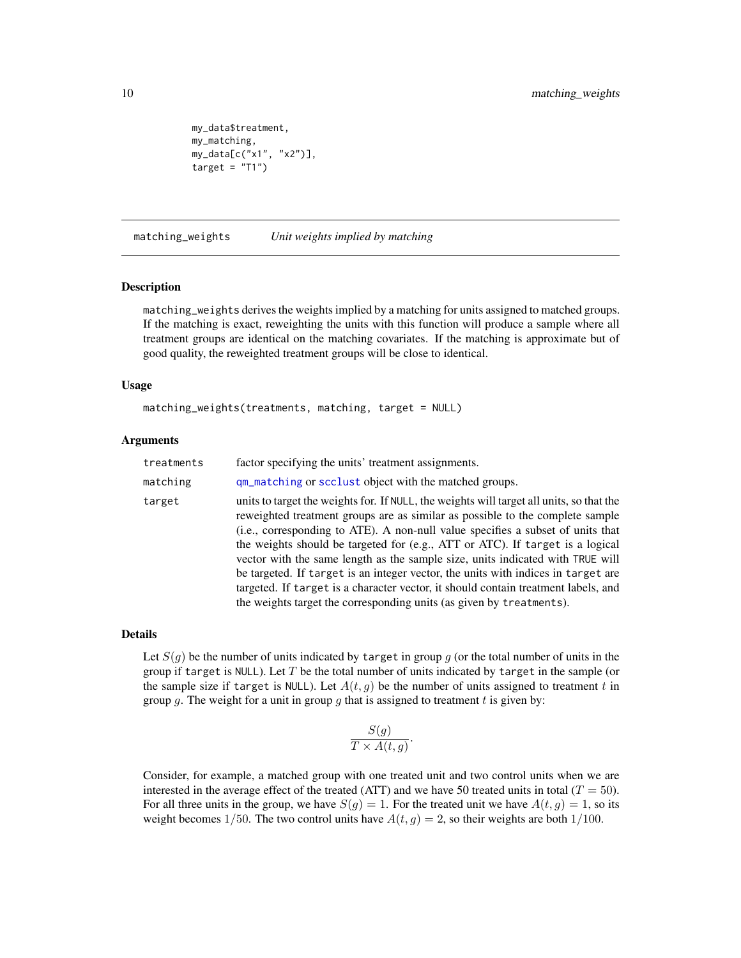```
my_data$treatment,
my_matching,
my_data[c("x1", "x2")],
target = "T1")
```
<span id="page-9-1"></span>matching\_weights *Unit weights implied by matching*

#### **Description**

matching\_weights derives the weights implied by a matching for units assigned to matched groups. If the matching is exact, reweighting the units with this function will produce a sample where all treatment groups are identical on the matching covariates. If the matching is approximate but of good quality, the reweighted treatment groups will be close to identical.

#### Usage

```
matching_weights(treatments, matching, target = NULL)
```
#### Arguments

| treatments | factor specifying the units' treatment assignments.                                                                                                                                                                                                                                                                                                                                                                                                                                                                                                                                                                                                                                |
|------------|------------------------------------------------------------------------------------------------------------------------------------------------------------------------------------------------------------------------------------------------------------------------------------------------------------------------------------------------------------------------------------------------------------------------------------------------------------------------------------------------------------------------------------------------------------------------------------------------------------------------------------------------------------------------------------|
| matching   | qm_matching or scclust object with the matched groups.                                                                                                                                                                                                                                                                                                                                                                                                                                                                                                                                                                                                                             |
| target     | units to target the weights for. If NULL, the weights will target all units, so that the<br>reweighted treatment groups are as similar as possible to the complete sample<br>(i.e., corresponding to ATE). A non-null value specifies a subset of units that<br>the weights should be targeted for (e.g., ATT or ATC). If target is a logical<br>vector with the same length as the sample size, units indicated with TRUE will<br>be targeted. If target is an integer vector, the units with indices in target are<br>targeted. If target is a character vector, it should contain treatment labels, and<br>the weights target the corresponding units (as given by treatments). |

#### Details

Let  $S(g)$  be the number of units indicated by target in group g (or the total number of units in the group if target is NULL). Let  $T$  be the total number of units indicated by target in the sample (or the sample size if target is NULL). Let  $A(t, g)$  be the number of units assigned to treatment t in group g. The weight for a unit in group g that is assigned to treatment t is given by:

$$
\frac{S(g)}{T \times A(t,g)}.
$$

Consider, for example, a matched group with one treated unit and two control units when we are interested in the average effect of the treated (ATT) and we have 50 treated units in total ( $T = 50$ ). For all three units in the group, we have  $S(q) = 1$ . For the treated unit we have  $A(t, g) = 1$ , so its weight becomes 1/50. The two control units have  $A(t, g) = 2$ , so their weights are both 1/100.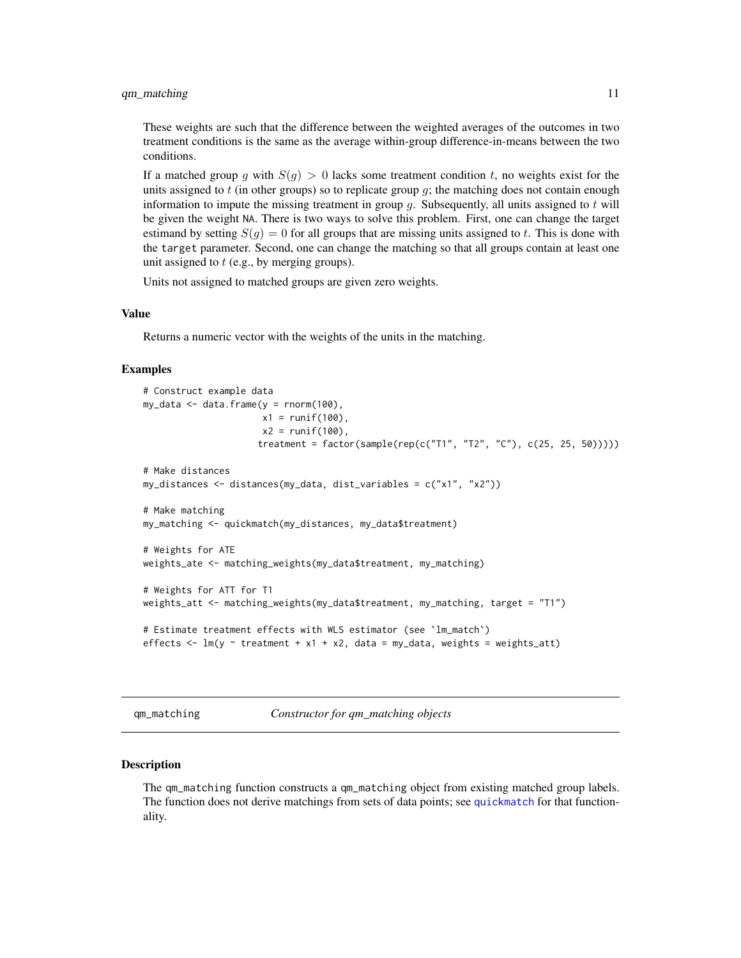#### <span id="page-10-0"></span>qm\_matching 11

These weights are such that the difference between the weighted averages of the outcomes in two treatment conditions is the same as the average within-group difference-in-means between the two conditions.

If a matched group g with  $S(q) > 0$  lacks some treatment condition t, no weights exist for the units assigned to  $t$  (in other groups) so to replicate group  $g$ ; the matching does not contain enough information to impute the missing treatment in group  $g$ . Subsequently, all units assigned to  $t$  will be given the weight NA. There is two ways to solve this problem. First, one can change the target estimand by setting  $S(q) = 0$  for all groups that are missing units assigned to t. This is done with the target parameter. Second, one can change the matching so that all groups contain at least one unit assigned to  $t$  (e.g., by merging groups).

Units not assigned to matched groups are given zero weights.

### Value

Returns a numeric vector with the weights of the units in the matching.

#### Examples

```
# Construct example data
my_data < - data frame(y = rnorm(100),x1 = runif(100),
                       x2 = runif(100),
                       treatment = factor(sample(rep(c("T1", "T2", "C"), c(25, 25, 50)))))
# Make distances
my_distances <- distances(my_data, dist_variables = c("x1", "x2"))
# Make matching
my_matching <- quickmatch(my_distances, my_data$treatment)
# Weights for ATE
weights_ate <- matching_weights(my_data$treatment, my_matching)
# Weights for ATT for T1
weights_att <- matching_weights(my_data$treatment, my_matching, target = "T1")
# Estimate treatment effects with WLS estimator (see `lm_match`)
effects \leq - \text{Im}(y \sim \text{treatment} + x1 + x2, \text{ data} = \text{my_data}, \text{weights} = \text{weights}\_at)
```
<span id="page-10-1"></span>qm\_matching *Constructor for qm\_matching objects*

#### Description

The qm\_matching function constructs a qm\_matching object from existing matched group labels. The function does not derive matchings from sets of data points; see [quickmatch](#page-12-1) for that functionality.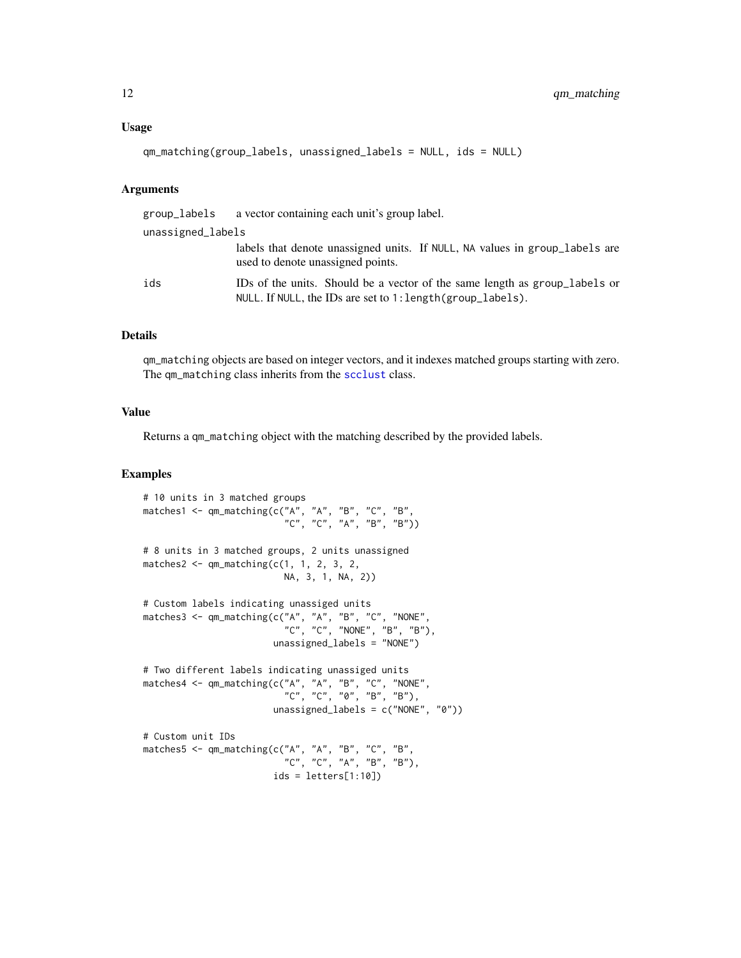```
qm_matching(group_labels, unassigned_labels = NULL, ids = NULL)
```
#### Arguments

| group_labels      | a vector containing each unit's group label.                                                                                                 |
|-------------------|----------------------------------------------------------------------------------------------------------------------------------------------|
| unassigned_labels |                                                                                                                                              |
|                   | labels that denote unassigned units. If NULL, NA values in group_labels are<br>used to denote unassigned points.                             |
| ids               | IDs of the units. Should be a vector of the same length as group_labels or<br>NULL. If NULL, the IDs are set to $1$ : length (group_labels). |

#### Details

qm\_matching objects are based on integer vectors, and it indexes matched groups starting with zero. The qm\_matching class inherits from the [scclust](#page-0-0) class.

#### Value

Returns a qm\_matching object with the matching described by the provided labels.

```
# 10 units in 3 matched groups
matches1 <- qm_matching(c("A", "A", "B", "C", "B",
                          "C", "C", "A", "B", "B"))
# 8 units in 3 matched groups, 2 units unassigned
matches2 \leq qm_matching(c(1, 1, 2, 3, 2,
                          NA, 3, 1, NA, 2))
# Custom labels indicating unassiged units
matches3 <- qm_matching(c("A", "A", "B", "C", "NONE",
                          "C", "C", "NONE", "B", "B"),
                        unassigned_labels = "NONE")
# Two different labels indicating unassiged units
matches4 <- qm_matching(c("A", "A", "B", "C", "NONE",
                          "C", "C", "0", "B", "B"),
                        unassigned_labels = c("NONE", "0"))
# Custom unit IDs
matches5 <- qm_matching(c("A", "A", "B", "C", "B",
                          "C", "C", "A", "B", "B"),
                        ids = letters[1:10])
```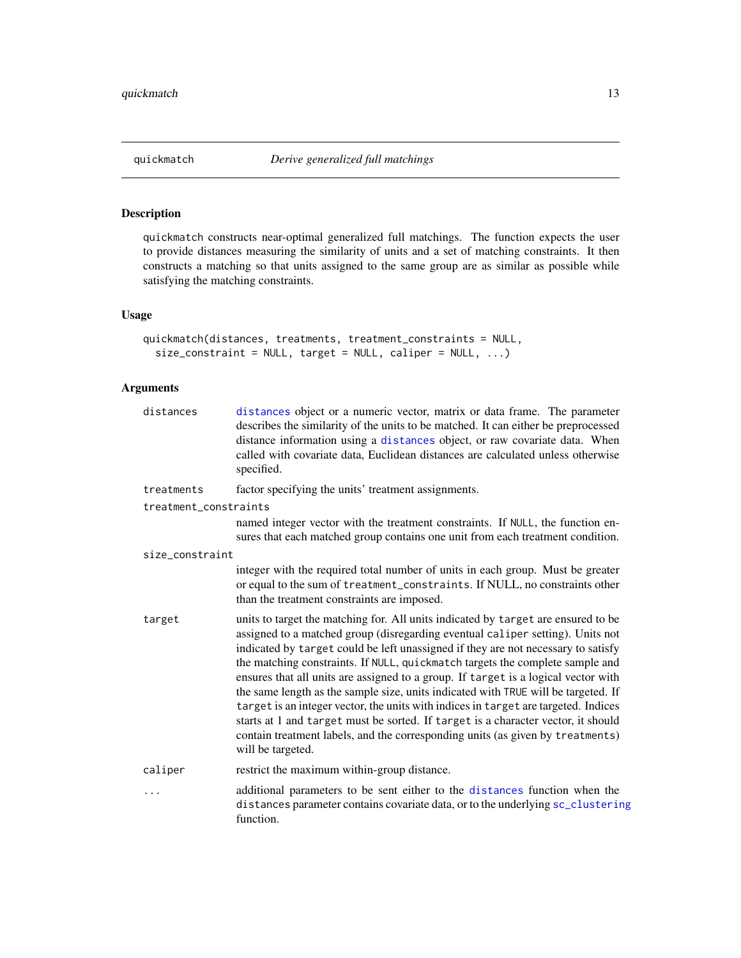## <span id="page-12-1"></span><span id="page-12-0"></span>Description

quickmatch constructs near-optimal generalized full matchings. The function expects the user to provide distances measuring the similarity of units and a set of matching constraints. It then constructs a matching so that units assigned to the same group are as similar as possible while satisfying the matching constraints.

#### Usage

```
quickmatch(distances, treatments, treatment_constraints = NULL,
  size_{constant} = NULL, target = NULL, caliper = NULL, ...)
```
### Arguments

| distances             | distances object or a numeric vector, matrix or data frame. The parameter<br>describes the similarity of the units to be matched. It can either be preprocessed<br>distance information using a distances object, or raw covariate data. When<br>called with covariate data, Euclidean distances are calculated unless otherwise<br>specified.                                                                                                                                                                                                                                                                                                                                                                                                                                                           |
|-----------------------|----------------------------------------------------------------------------------------------------------------------------------------------------------------------------------------------------------------------------------------------------------------------------------------------------------------------------------------------------------------------------------------------------------------------------------------------------------------------------------------------------------------------------------------------------------------------------------------------------------------------------------------------------------------------------------------------------------------------------------------------------------------------------------------------------------|
| treatments            | factor specifying the units' treatment assignments.                                                                                                                                                                                                                                                                                                                                                                                                                                                                                                                                                                                                                                                                                                                                                      |
| treatment_constraints |                                                                                                                                                                                                                                                                                                                                                                                                                                                                                                                                                                                                                                                                                                                                                                                                          |
|                       | named integer vector with the treatment constraints. If NULL, the function en-<br>sures that each matched group contains one unit from each treatment condition.                                                                                                                                                                                                                                                                                                                                                                                                                                                                                                                                                                                                                                         |
| size_constraint       |                                                                                                                                                                                                                                                                                                                                                                                                                                                                                                                                                                                                                                                                                                                                                                                                          |
|                       | integer with the required total number of units in each group. Must be greater<br>or equal to the sum of treatment_constraints. If NULL, no constraints other<br>than the treatment constraints are imposed.                                                                                                                                                                                                                                                                                                                                                                                                                                                                                                                                                                                             |
| target                | units to target the matching for. All units indicated by target are ensured to be<br>assigned to a matched group (disregarding eventual caliper setting). Units not<br>indicated by target could be left unassigned if they are not necessary to satisfy<br>the matching constraints. If NULL, quickmatch targets the complete sample and<br>ensures that all units are assigned to a group. If target is a logical vector with<br>the same length as the sample size, units indicated with TRUE will be targeted. If<br>target is an integer vector, the units with indices in target are targeted. Indices<br>starts at 1 and target must be sorted. If target is a character vector, it should<br>contain treatment labels, and the corresponding units (as given by treatments)<br>will be targeted. |
| caliper               | restrict the maximum within-group distance.                                                                                                                                                                                                                                                                                                                                                                                                                                                                                                                                                                                                                                                                                                                                                              |
| .                     | additional parameters to be sent either to the distances function when the<br>distances parameter contains covariate data, or to the underlying sc_clustering<br>function.                                                                                                                                                                                                                                                                                                                                                                                                                                                                                                                                                                                                                               |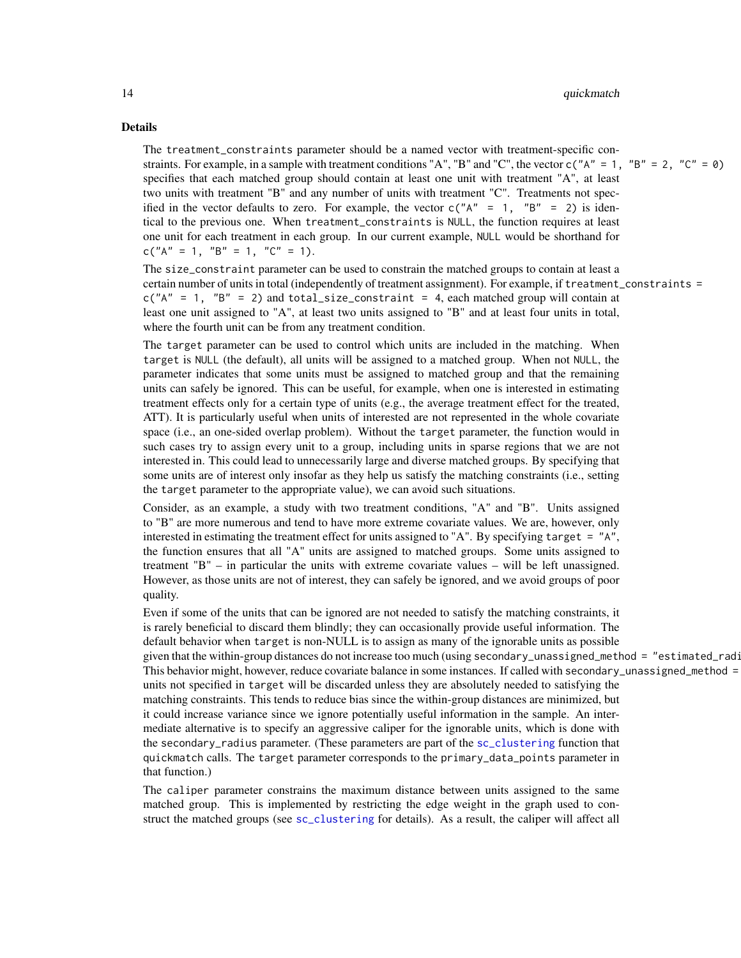#### 14 quickmatch

#### Details

The treatment\_constraints parameter should be a named vector with treatment-specific constraints. For example, in a sample with treatment conditions "A", "B" and "C", the vector  $c("A" = 1, "B" = 2, "C" = 0)$ specifies that each matched group should contain at least one unit with treatment "A", at least two units with treatment "B" and any number of units with treatment "C". Treatments not specified in the vector defaults to zero. For example, the vector  $c("A" = 1, "B" = 2)$  is identical to the previous one. When treatment\_constraints is NULL, the function requires at least one unit for each treatment in each group. In our current example, NULL would be shorthand for  $c("A" = 1, "B" = 1, "C" = 1).$ 

The size\_constraint parameter can be used to constrain the matched groups to contain at least a certain number of units in total (independently of treatment assignment). For example, if treatment\_constraints =  $c("A" = 1, "B" = 2)$  and total\_size\_constraint = 4, each matched group will contain at least one unit assigned to "A", at least two units assigned to "B" and at least four units in total, where the fourth unit can be from any treatment condition.

The target parameter can be used to control which units are included in the matching. When target is NULL (the default), all units will be assigned to a matched group. When not NULL, the parameter indicates that some units must be assigned to matched group and that the remaining units can safely be ignored. This can be useful, for example, when one is interested in estimating treatment effects only for a certain type of units (e.g., the average treatment effect for the treated, ATT). It is particularly useful when units of interested are not represented in the whole covariate space (i.e., an one-sided overlap problem). Without the target parameter, the function would in such cases try to assign every unit to a group, including units in sparse regions that we are not interested in. This could lead to unnecessarily large and diverse matched groups. By specifying that some units are of interest only insofar as they help us satisfy the matching constraints (i.e., setting the target parameter to the appropriate value), we can avoid such situations.

Consider, as an example, a study with two treatment conditions, "A" and "B". Units assigned to "B" are more numerous and tend to have more extreme covariate values. We are, however, only interested in estimating the treatment effect for units assigned to "A". By specifying target = "A", the function ensures that all "A" units are assigned to matched groups. Some units assigned to treatment "B" – in particular the units with extreme covariate values – will be left unassigned. However, as those units are not of interest, they can safely be ignored, and we avoid groups of poor quality.

Even if some of the units that can be ignored are not needed to satisfy the matching constraints, it is rarely beneficial to discard them blindly; they can occasionally provide useful information. The default behavior when target is non-NULL is to assign as many of the ignorable units as possible given that the within-group distances do not increase too much (using secondary\_unassigned\_method = "estimated\_radi This behavior might, however, reduce covariate balance in some instances. If called with secondary\_unassigned\_method = units not specified in target will be discarded unless they are absolutely needed to satisfying the matching constraints. This tends to reduce bias since the within-group distances are minimized, but it could increase variance since we ignore potentially useful information in the sample. An intermediate alternative is to specify an aggressive caliper for the ignorable units, which is done with the secondary\_radius parameter. (These parameters are part of the [sc\\_clustering](#page-0-0) function that quickmatch calls. The target parameter corresponds to the primary\_data\_points parameter in that function.)

The caliper parameter constrains the maximum distance between units assigned to the same matched group. This is implemented by restricting the edge weight in the graph used to construct the matched groups (see [sc\\_clustering](#page-0-0) for details). As a result, the caliper will affect all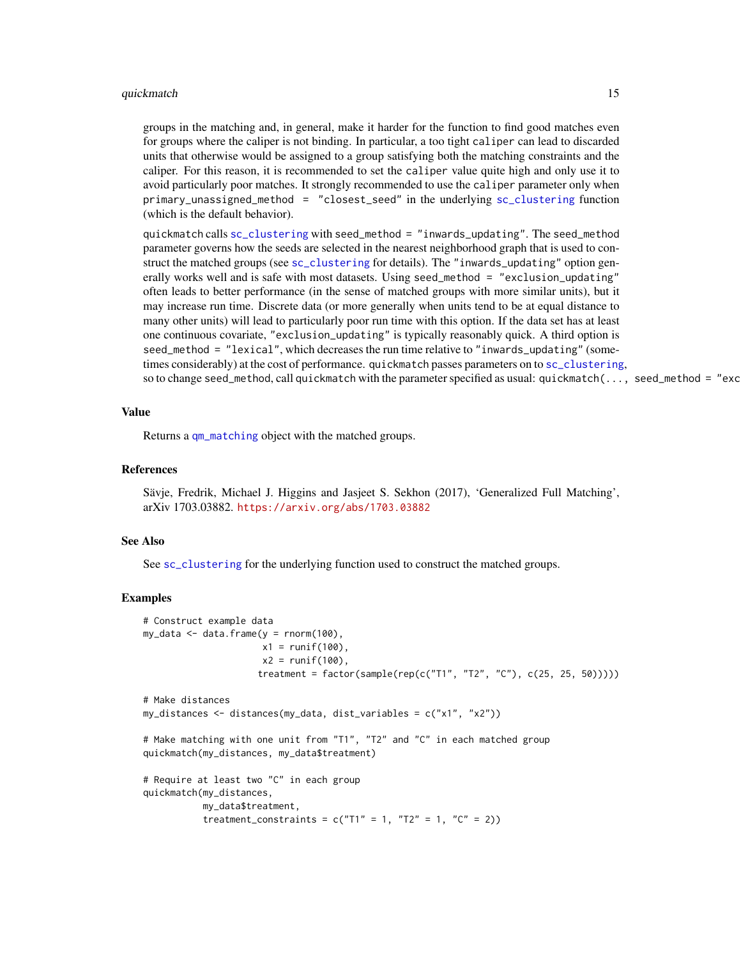#### <span id="page-14-0"></span>quickmatch 15

groups in the matching and, in general, make it harder for the function to find good matches even for groups where the caliper is not binding. In particular, a too tight caliper can lead to discarded units that otherwise would be assigned to a group satisfying both the matching constraints and the caliper. For this reason, it is recommended to set the caliper value quite high and only use it to avoid particularly poor matches. It strongly recommended to use the caliper parameter only when primary\_unassigned\_method = "closest\_seed" in the underlying [sc\\_clustering](#page-0-0) function (which is the default behavior).

quickmatch calls [sc\\_clustering](#page-0-0) with seed\_method = "inwards\_updating". The seed\_method parameter governs how the seeds are selected in the nearest neighborhood graph that is used to construct the matched groups (see [sc\\_clustering](#page-0-0) for details). The "inwards\_updating" option generally works well and is safe with most datasets. Using seed\_method = "exclusion\_updating" often leads to better performance (in the sense of matched groups with more similar units), but it may increase run time. Discrete data (or more generally when units tend to be at equal distance to many other units) will lead to particularly poor run time with this option. If the data set has at least one continuous covariate, "exclusion\_updating" is typically reasonably quick. A third option is seed\_method = "lexical", which decreases the run time relative to "inwards\_updating" (sometimes considerably) at the cost of performance. quickmatch passes parameters on to [sc\\_clustering](#page-0-0), so to change seed\_method, call quickmatch with the parameter specified as usual: quickmatch $(\ldots, \text{seed\_method} = \text{"exced}$ 

#### Value

Returns a [qm\\_matching](#page-10-1) object with the matched groups.

#### References

Sävje, Fredrik, Michael J. Higgins and Jasjeet S. Sekhon (2017), 'Generalized Full Matching', arXiv 1703.03882. <https://arxiv.org/abs/1703.03882>

#### See Also

See [sc\\_clustering](#page-0-0) for the underlying function used to construct the matched groups.

```
# Construct example data
my_data <- data.frame(y = rnorm(100),
                     x1 = runif(100),
                     x2 = runif(100),
                     treatment = factor(sample(rep(c("T1", "T2", "C"), c(25, 25, 50)))))
# Make distances
my_distances <- distances(my_data, dist_variables = c("x1", "x2"))
# Make matching with one unit from "T1", "T2" and "C" in each matched group
quickmatch(my_distances, my_data$treatment)
# Require at least two "C" in each group
quickmatch(my_distances,
          my_data$treatment,
           treatment_constraints = c("T1" = 1, "T2" = 1, "C" = 2))
```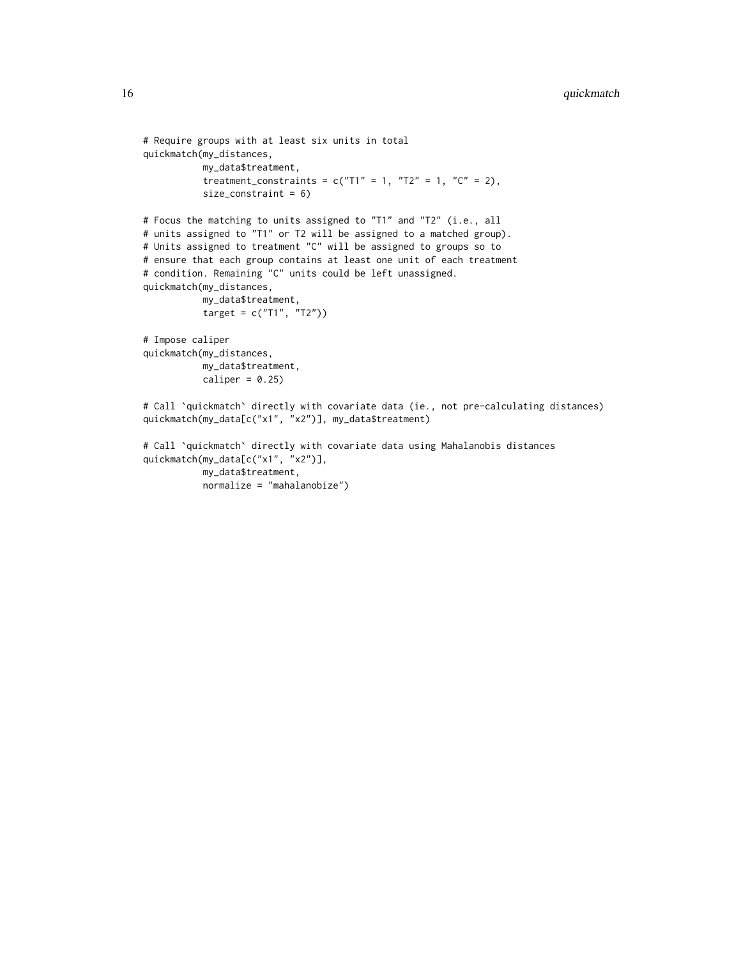```
# Require groups with at least six units in total
quickmatch(my_distances,
          my_data$treatment,
          treatment_constraints = c("T1" = 1, "T2" = 1, "C" = 2),
          size_constraint = 6)
# Focus the matching to units assigned to "T1" and "T2" (i.e., all
# units assigned to "T1" or T2 will be assigned to a matched group).
# Units assigned to treatment "C" will be assigned to groups so to
# ensure that each group contains at least one unit of each treatment
# condition. Remaining "C" units could be left unassigned.
quickmatch(my_distances,
          my_data$treatment,
          target = c("T1", "T2"))
# Impose caliper
quickmatch(my_distances,
          my_data$treatment,
          caliper = 0.25)
# Call 'quickmatch' directly with covariate data (ie., not pre-calculating distances)
quickmatch(my_data[c("x1", "x2")], my_data$treatment)
# Call `quickmatch` directly with covariate data using Mahalanobis distances
quickmatch(my_data[c("x1", "x2")],
          my_data$treatment,
          normalize = "mahalanobize")
```